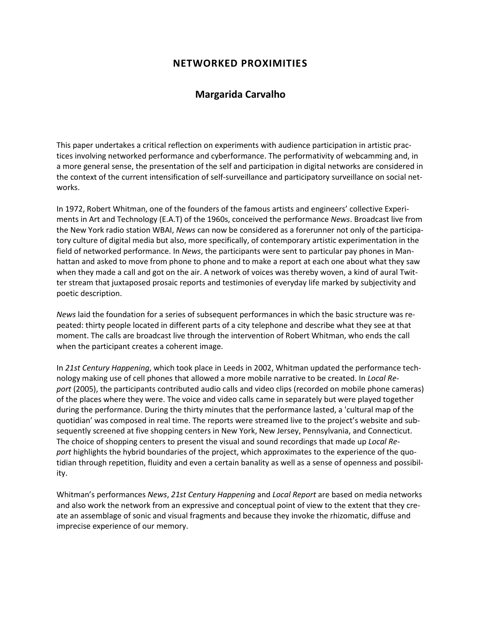# **NETWORKED PROXIMITIES**

## **Margarida Carvalho**

This paper undertakes a critical reflection on experiments with audience participation in artistic practices involving networked performance and cyberformance. The performativity of webcamming and, in a more general sense, the presentation of the self and participation in digital networks are considered in the context of the current intensification of self-surveillance and participatory surveillance on social net- ${\sf works.}$ 

In 1972, Robert Whitman, one of the founders of the famous artists and engineers' collective Experiments in Art and Technology (E.A.T) of the 1960s, conceived the performance *News*. Broadcast live from the New York radio station WBAI, *News* can now be considered as a forerunner not only of the participatory culture of digital media but also, more specifically, of contemporary artistic experimentation in the field of networked performance. In *News*, the participants were sent to particular pay phones in Manhattan and asked to move from phone to phone and to make a report at each one about what they saw when they made a call and got on the air. A network of voices was thereby woven, a kind of aural Twitter stream that juxtaposed prosaic reports and testimonies of everyday life marked by subjectivity and poetic description.

*News* laid the foundation for a series of subsequent performances in which the basic structure was repeated: thirty people located in different parts of a city telephone and describe what they see at that moment. The calls are broadcast live through the intervention of Robert Whitman, who ends the call when the participant creates a coherent image.

In *21st Century Happening*, which took place in Leeds in 2002, Whitman updated the performance technology making use of cell phones that allowed a more mobile narrative to be created. In *Local Report* (2005), the participants contributed audio calls and video clips (recorded on mobile phone cameras) of the places where they were. The voice and video calls came in separately but were played together during the performance. During the thirty minutes that the performance lasted, a 'cultural map of the quotidian' was composed in real time. The reports were streamed live to the project's website and subsequently screened at five shopping centers in New York, New Jersey, Pennsylvania, and Connecticut. The choice of shopping centers to present the visual and sound recordings that made up *Local Report* highlights the hybrid boundaries of the project, which approximates to the experience of the quotidian through repetition, fluidity and even a certain banality as well as a sense of openness and possibility.

Whitman's performances *News*, *21st Century Happening* and *Local Report* are based on media networks and also work the network from an expressive and conceptual point of view to the extent that they create an assemblage of sonic and visual fragments and because they invoke the rhizomatic, diffuse and imprecise experience of our memory.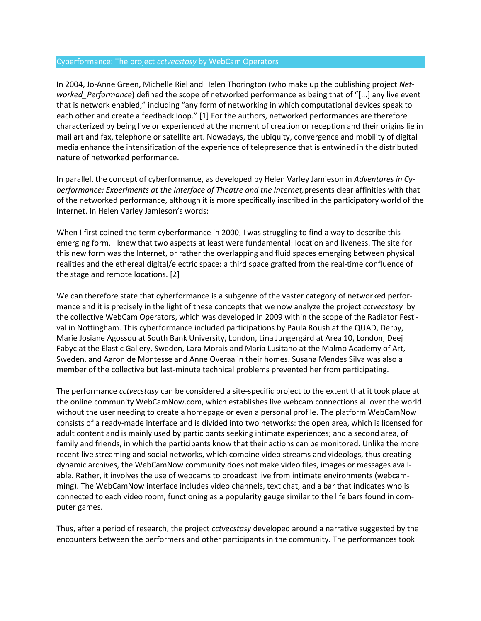### Cyberformance: The project *cctvecstasy* by WebCam Operators

In 2004, Jo-Anne Green, Michelle Riel and Helen Thorington (who make up the publishing project *Networked\_Performance*) defined the scope of networked performance as being that of "[...] any live event that is network enabled," including "any form of networking in which computational devices speak to each other and create a feedback loop." [1] For the authors, networked performances are therefore characterized by being live or experienced at the moment of creation or reception and their origins lie in mail art and fax, telephone or satellite art. Nowadays, the ubiquity, convergence and mobility of digital media enhance the intensification of the experience of telepresence that is entwined in the distributed nature of networked performance.

In parallel, the concept of cyberformance, as developed by Helen Varley Jamieson in *Adventures in Cyberformance: Experiments at the Interface of Theatre and the Internet,*presents clear affinities with that of the networked performance, although it is more specifically inscribed in the participatory world of the Internet. In Helen Varley Jamieson's words:

When I first coined the term cyberformance in 2000, I was struggling to find a way to describe this emerging form. I knew that two aspects at least were fundamental: location and liveness. The site for this new form was the Internet, or rather the overlapping and fluid spaces emerging between physical realities and the ethereal digital/electric space: a third space grafted from the real-time confluence of the stage and remote locations. [2]

We can therefore state that cyberformance is a subgenre of the vaster category of networked performance and it is precisely in the light of these concepts that we now analyze the project *cctvecstasy* by the collective WebCam Operators, which was developed in 2009 within the scope of the Radiator Festival in Nottingham. This cyberformance included participations by Paula Roush at the QUAD, Derby, Marie Josiane Agossou at South Bank University, London, Lina Jungergård at Area 10, London, Deej Fabyc at the Elastic Gallery, Sweden, Lara Morais and Maria Lusitano at the Malmo Academy of Art, Sweden, and Aaron de Montesse and Anne Overaa in their homes. Susana Mendes Silva was also a member of the collective but last-minute technical problems prevented her from participating.

The performance *cctvecstasy* can be considered a site-specific project to the extent that it took place at the online community WebCamNow.com, which establishes live webcam connections all over the world without the user needing to create a homepage or even a personal profile. The platform WebCamNow consists of a ready-made interface and is divided into two networks: the open area, which is licensed for adult content and is mainly used by participants seeking intimate experiences; and a second area, of family and friends, in which the participants know that their actions can be monitored. Unlike the more recent live streaming and social networks, which combine video streams and videologs, thus creating dynamic archives, the WebCamNow community does not make video files, images or messages available. Rather, it involves the use of webcams to broadcast live from intimate environments (webcamming). The WebCamNow interface includes video channels, text chat, and a bar that indicates who is connected to each video room, functioning as a popularity gauge similar to the life bars found in computer games.

Thus, after a period of research, the project *cctvecstasy* developed around a narrative suggested by the encounters between the performers and other participants in the community. The performances took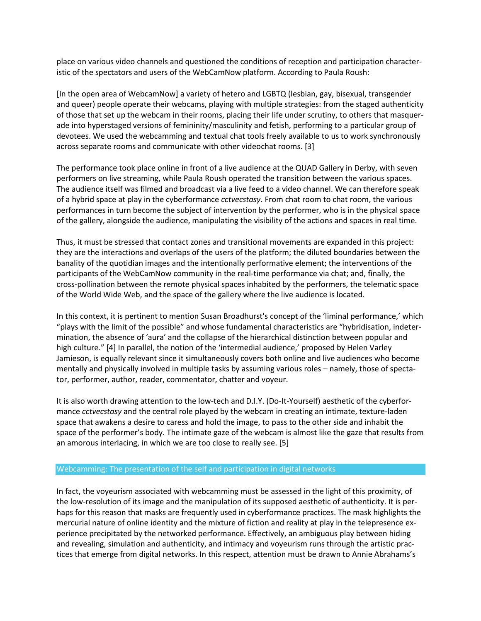place on various video channels and questioned the conditions of reception and participation characteristic of the spectators and users of the WebCamNow platform. According to Paula Roush:

[In the open area of WebcamNow] a variety of hetero and LGBTQ (lesbian, gay, bisexual, transgender and queer) people operate their webcams, playing with multiple strategies: from the staged authenticity of those that set up the webcam in their rooms, placing their life under scrutiny, to others that masquerade into hyperstaged versions of femininity/masculinity and fetish, performing to a particular group of devotees. We used the webcamming and textual chat tools freely available to us to work synchronously across separate rooms and communicate with other videochat rooms. [3]

The performance took place online in front of a live audience at the QUAD Gallery in Derby, with seven performers on live streaming, while Paula Roush operated the transition between the various spaces. The audience itself was filmed and broadcast via a live feed to a video channel. We can therefore speak of a hybrid space at play in the cyberformance *cctvecstasy*. From chat room to chat room, the various performances in turn become the subject of intervention by the performer, who is in the physical space of the gallery, alongside the audience, manipulating the visibility of the actions and spaces in real time.

Thus, it must be stressed that contact zones and transitional movements are expanded in this project: they are the interactions and overlaps of the users of the platform; the diluted boundaries between the banality of the quotidian images and the intentionally performative element; the interventions of the participants of the WebCamNow community in the real-time performance via chat; and, finally, the cross-pollination between the remote physical spaces inhabited by the performers, the telematic space of the World Wide Web, and the space of the gallery where the live audience is located.

In this context, it is pertinent to mention Susan Broadhurst's concept of the 'liminal performance,' which "plays with the limit of the possible" and whose fundamental characteristics are "hybridisation, indetermination, the absence of 'aura' and the collapse of the hierarchical distinction between popular and high culture." [4] In parallel, the notion of the 'intermedial audience,' proposed by Helen Varley Jamieson, is equally relevant since it simultaneously covers both online and live audiences who become mentally and physically involved in multiple tasks by assuming various roles – namely, those of spectator, performer, author, reader, commentator, chatter and voyeur.

It is also worth drawing attention to the low-tech and D.I.Y. (Do-It-Yourself) aesthetic of the cyberformance *cctvecstasy* and the central role played by the webcam in creating an intimate, texture-laden space that awakens a desire to caress and hold the image, to pass to the other side and inhabit the space of the performer's body. The intimate gaze of the webcam is almost like the gaze that results from an amorous interlacing, in which we are too close to really see. [5]

## Webcamming: The presentation of the self and participation in digital networks

In fact, the voyeurism associated with webcamming must be assessed in the light of this proximity, of the low-resolution of its image and the manipulation of its supposed aesthetic of authenticity. It is perhaps for this reason that masks are frequently used in cyberformance practices. The mask highlights the mercurial nature of online identity and the mixture of fiction and reality at play in the telepresence experience precipitated by the networked performance. Effectively, an ambiguous play between hiding and revealing, simulation and authenticity, and intimacy and voyeurism runs through the artistic practices that emerge from digital networks. In this respect, attention must be drawn to Annie Abrahams's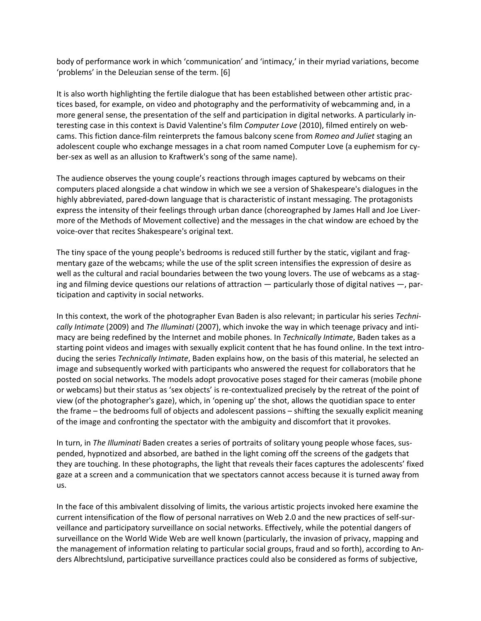body of performance work in which 'communication' and 'intimacy,' in their myriad variations, become 'problems' in the Deleuzian sense of the term. [6]

It is also worth highlighting the fertile dialogue that has been established between other artistic practices based, for example, on video and photography and the performativity of webcamming and, in a more general sense, the presentation of the self and participation in digital networks. A particularly interesting case in this context is David Valentine's film *Computer Love* (2010), filmed entirely on webcams. This fiction dance-film reinterprets the famous balcony scene from *Romeo and Juliet* staging an adolescent couple who exchange messages in a chat room named Computer Love (a euphemism for cyber-sex as well as an allusion to Kraftwerk's song of the same name).

The audience observes the young couple's reactions through images captured by webcams on their computers placed alongside a chat window in which we see a version of Shakespeare's dialogues in the highly abbreviated, pared-down language that is characteristic of instant messaging. The protagonists express the intensity of their feelings through urban dance (choreographed by James Hall and Joe Livermore of the Methods of Movement collective) and the messages in the chat window are echoed by the voice-over that recites Shakespeare's original text.

The tiny space of the young people's bedrooms is reduced still further by the static, vigilant and fragmentary gaze of the webcams; while the use of the split screen intensifies the expression of desire as well as the cultural and racial boundaries between the two young lovers. The use of webcams as a staging and filming device questions our relations of attraction — particularly those of digital natives —, participation and captivity in social networks.

In this context, the work of the photographer Evan Baden is also relevant; in particular his series *Technically Intimate* (2009) and *The Illuminati* (2007), which invoke the way in which teenage privacy and intimacy are being redefined by the Internet and mobile phones. In *Technically Intimate*, Baden takes as a starting point videos and images with sexually explicit content that he has found online. In the text introducing the series *Technically Intimate*, Baden explains how, on the basis of this material, he selected an image and subsequently worked with participants who answered the request for collaborators that he posted on social networks. The models adopt provocative poses staged for their cameras (mobile phone or webcams) but their status as 'sex objects' is re-contextualized precisely by the retreat of the point of view (of the photographer's gaze), which, in 'opening up' the shot, allows the quotidian space to enter the frame – the bedrooms full of objects and adolescent passions – shifting the sexually explicit meaning of the image and confronting the spectator with the ambiguity and discomfort that it provokes.

In turn, in *The Illuminati* Baden creates a series of portraits of solitary young people whose faces, suspended, hypnotized and absorbed, are bathed in the light coming off the screens of the gadgets that they are touching. In these photographs, the light that reveals their faces captures the adolescents' fixed gaze at a screen and a communication that we spectators cannot access because it is turned away from us.

In the face of this ambivalent dissolving of limits, the various artistic projects invoked here examine the current intensification of the flow of personal narratives on Web 2.0 and the new practices of self-surveillance and participatory surveillance on social networks. Effectively, while the potential dangers of surveillance on the World Wide Web are well known (particularly, the invasion of privacy, mapping and the management of information relating to particular social groups, fraud and so forth), according to Anders Albrechtslund, participative surveillance practices could also be considered as forms of subjective,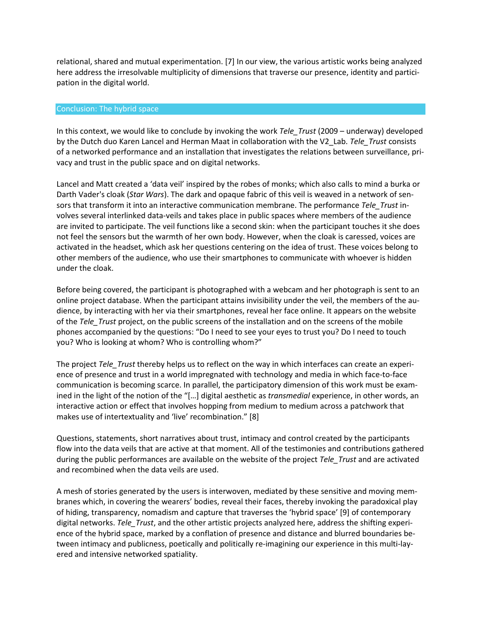relational, shared and mutual experimentation. [7] In our view, the various artistic works being analyzed here address the irresolvable multiplicity of dimensions that traverse our presence, identity and participation in the digital world.

#### Conclusion: The hybrid space

In this context, we would like to conclude by invoking the work *Tele\_Trust* (2009 – underway) developed by the Dutch duo Karen Lancel and Herman Maat in collaboration with the V2\_Lab. *Tele\_Trust* consists of a networked performance and an installation that investigates the relations between surveillance, privacy and trust in the public space and on digital networks.

Lancel and Matt created a 'data veil' inspired by the robes of monks; which also calls to mind a burka or Darth Vader's cloak (*Star Wars*). The dark and opaque fabric of this veil is weaved in a network of sensors that transform it into an interactive communication membrane. The performance *Tele\_Trust* involves several interlinked data-veils and takes place in public spaces where members of the audience are invited to participate. The veil functions like a second skin: when the participant touches it she does not feel the sensors but the warmth of her own body. However, when the cloak is caressed, voices are activated in the headset, which ask her questions centering on the idea of trust. These voices belong to other members of the audience, who use their smartphones to communicate with whoever is hidden under the cloak.

Before being covered, the participant is photographed with a webcam and her photograph is sent to an online project database. When the participant attains invisibility under the veil, the members of the audience, by interacting with her via their smartphones, reveal her face online. It appears on the website of the *Tele\_Trust* project, on the public screens of the installation and on the screens of the mobile phones accompanied by the questions: "Do I need to see your eyes to trust you? Do I need to touch you? Who is looking at whom? Who is controlling whom?"

The project *Tele\_Trust* thereby helps us to reflect on the way in which interfaces can create an experience of presence and trust in a world impregnated with technology and media in which face-to-face communication is becoming scarce. In parallel, the participatory dimension of this work must be examined in the light of the notion of the "[…] digital aesthetic as *transmedial* experience, in other words, an interactive action or effect that involves hopping from medium to medium across a patchwork that makes use of intertextuality and 'live' recombination." [8]

Questions, statements, short narratives about trust, intimacy and control created by the participants flow into the data veils that are active at that moment. All of the testimonies and contributions gathered during the public performances are available on the website of the project *Tele\_Trust* and are activated and recombined when the data veils are used.

A mesh of stories generated by the users is interwoven, mediated by these sensitive and moving membranes which, in covering the wearers' bodies, reveal their faces, thereby invoking the paradoxical play of hiding, transparency, nomadism and capture that traverses the 'hybrid space' [9] of contemporary digital networks. *Tele\_Trust*, and the other artistic projects analyzed here, address the shifting experience of the hybrid space, marked by a conflation of presence and distance and blurred boundaries between intimacy and publicness, poetically and politically re-imagining our experience in this multi-layered and intensive networked spatiality.